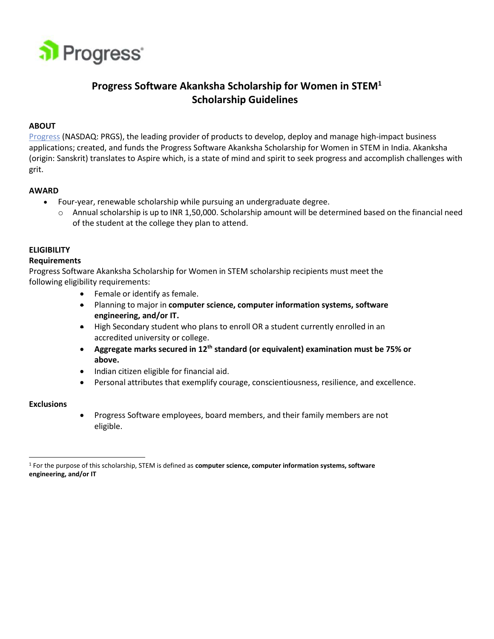

# **Progress Software Akanksha Scholarship for Women in STEM<sup>1</sup> Scholarship Guidelines**

## **ABOUT**

Progress (NASDAQ: PRGS), the leading provider of products to develop, deploy and manage high‐impact business applications; created, and funds the Progress Software Akanksha Scholarship for Women in STEM in India. Akanksha (origin: Sanskrit) translates to Aspire which, is a state of mind and spirit to seek progress and accomplish challenges with grit.

## **AWARD**

- Four-year, renewable scholarship while pursuing an undergraduate degree.
	- o Annual scholarship is up to INR 1,50,000. Scholarship amount will be determined based on the financial need of the student at the college they plan to attend.

# **ELIGIBILITY**

## **Requirements**

Progress Software Akanksha Scholarship for Women in STEM scholarship recipients must meet the following eligibility requirements:

- Female or identify as female.
- Planning to major in **computer science, computer information systems, software engineering, and/or IT.**
- High Secondary student who plans to enroll OR a student currently enrolled in an accredited university or college.
- **Aggregate marks secured in 12th standard (or equivalent) examination must be 75% or above.**
- Indian citizen eligible for financial aid.
- Personal attributes that exemplify courage, conscientiousness, resilience, and excellence.

#### **Exclusions**

• Progress Software employees, board members, and their family members are not eligible.

<sup>1</sup> For the purpose of this scholarship, STEM is defined as **computer science, computer information systems, software engineering, and/or IT**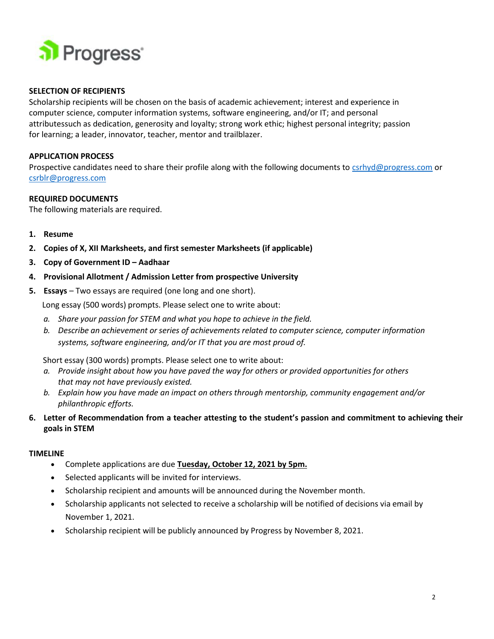

## **SELECTION OF RECIPIENTS**

Scholarship recipients will be chosen on the basis of academic achievement; interest and experience in computer science, computer information systems, software engineering, and/or IT; and personal attributessuch as dedication, generosity and loyalty; strong work ethic; highest personal integrity; passion for learning; a leader, innovator, teacher, mentor and trailblazer.

#### **APPLICATION PROCESS**

Prospective candidates need to share their profile along with the following documents to [csrhyd@progress.com](mailto:csrhyd@progress.com) or [csrblr@progress.com](mailto:csrblr@progress.com)

#### **REQUIRED DOCUMENTS**

The following materials are required.

- **1. Resume**
- **2. Copies of X, XII Marksheets, and first semester Marksheets (if applicable)**
- **3. Copy of Government ID – Aadhaar**
- **4. Provisional Allotment / Admission Letter from prospective University**
- **5. Essays** Two essays are required (one long and one short).

Long essay (500 words) prompts. Please select one to write about:

- *a. Share your passion for STEM and what you hope to achieve in the field.*
- *b. Describe an achievement or series of achievements related to computer science, computer information systems, software engineering, and/or IT that you are most proud of.*

Short essay (300 words) prompts. Please select one to write about:

- *a. Provide insight about how you have paved the way for others or provided opportunities for others that may not have previously existed.*
- *b. Explain how you have made an impact on others through mentorship, community engagement and/or philanthropic efforts.*
- 6. Letter of Recommendation from a teacher attesting to the student's passion and commitment to achieving their **goals in STEM**

#### **TIMELINE**

- Complete applications are due **Tuesday, October 12, 2021 by 5pm.**
- Selected applicants will be invited for interviews.
- Scholarship recipient and amounts will be announced during the November month.
- Scholarship applicants not selected to receive a scholarship will be notified of decisions via email by November 1, 2021.
- Scholarship recipient will be publicly announced by Progress by November 8, 2021.